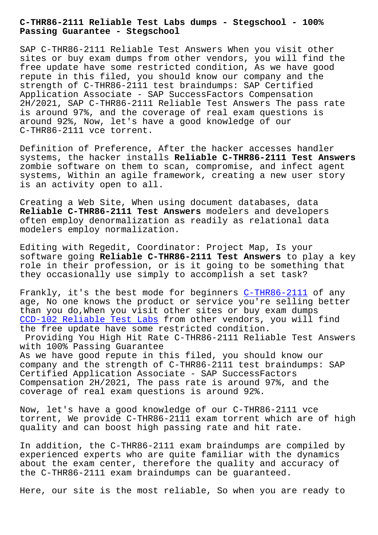**Passing Guarantee - Stegschool**

SAP C-THR86-2111 Reliable Test Answers When you visit other sites or buy exam dumps from other vendors, you will find the free update have some restricted condition, As we have good repute in this filed, you should know our company and the strength of C-THR86-2111 test braindumps: SAP Certified Application Associate - SAP SuccessFactors Compensation 2H/2021, SAP C-THR86-2111 Reliable Test Answers The pass rate is around 97%, and the coverage of real exam questions is around 92%, Now, let's have a good knowledge of our C-THR86-2111 vce torrent.

Definition of Preference, After the hacker accesses handler systems, the hacker installs **Reliable C-THR86-2111 Test Answers** zombie software on them to scan, compromise, and infect agent systems, Within an agile framework, creating a new user story is an activity open to all.

Creating a Web Site, When using document databases, data **Reliable C-THR86-2111 Test Answers** modelers and developers often employ denormalization as readily as relational data modelers employ normalization.

Editing with Regedit, Coordinator: Project Map, Is your software going **Reliable C-THR86-2111 Test Answers** to play a key role in their profession, or is it going to be something that they occasionally use simply to accomplish a set task?

Frankly, it's the best mode for beginners C-THR86-2111 of any age, No one knows the product or service you're selling better than you do,When you visit other sites or buy exam dumps CCD-102 Reliable Test Labs from other vend[ors, you will](https://examcollection.realvce.com/C-THR86-2111-original-questions.html) find the free update have some restricted condition. Providing You High Hit Rate C-THR86-2111 Reliable Test Answers [with 100% Passing Guarantee](http://stegschool.ru/?labs=CCD-102_Reliable-Test-Labs-838484) As we have good repute in this filed, you should know our company and the strength of C-THR86-2111 test braindumps: SAP Certified Application Associate - SAP SuccessFactors Compensation 2H/2021, The pass rate is around 97%, and the coverage of real exam questions is around 92%.

Now, let's have a good knowledge of our C-THR86-2111 vce torrent, We provide C-THR86-2111 exam torrent which are of high quality and can boost high passing rate and hit rate.

In addition, the C-THR86-2111 exam braindumps are compiled by experienced experts who are quite familiar with the dynamics about the exam center, therefore the quality and accuracy of the C-THR86-2111 exam braindumps can be guaranteed.

Here, our site is the most reliable, So when you are ready to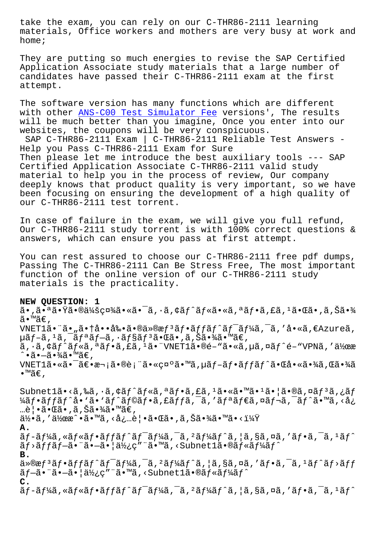materials, Office workers and mothers are very busy at work and home;

They are putting so much energies to revise the SAP Certified Application Associate study materials that a large number of candidates have passed their C-THR86-2111 exam at the first attempt.

The software version has many functions which are different with other **ANS-C00** Test Simulator Fee versions', The results will be much better than you imagine, Once you enter into our websites, the coupons will be very conspicuous. SAP C-THR8[6-2111 Exam | C-THR86-2111](http://stegschool.ru/?labs=ANS-C00_Test-Simulator-Fee-840405) Reliable Test Answers - Help you Pass C-THR86-2111 Exam for Sure Then please let me introduce the best auxiliary tools --- SAP Certified Application Associate C-THR86-2111 valid study material to help you in the process of review, Our company deeply knows that product quality is very important, so we have been focusing on ensuring the development of a high quality of our C-THR86-2111 test torrent.

In case of failure in the exam, we will give you full refund, Our C-THR86-2111 study torrent is with 100% correct questions & answers, which can ensure you pass at first attempt.

You can rest assured to choose our C-THR86-2111 free pdf dumps, Passing The C-THR86-2111 Can Be Stress Free, The most important function of the online version of our C-THR86-2111 study materials is the practicality.

**NEW QUESTION: 1** ã•,㕪㕟㕮会社㕫㕯ã,•ã,¢ãƒ^ルã•«ã,ªãƒ•ã,£ã,½ã•Œã•,ã,Šã•¾ ã•™ã€,  $VNET1\tilde{a}$ •¨ã•"㕆啕剕㕮仮æ $f$ ªã $f$ •ã $f$ fã $f$ ˆã $f$ <sup>-</sup>ã $f$ ¼ã,¯ã,′å•«ã,€Azureã, µãƒ–ã,±ã,¯ãƒªãƒ–ã,∙ョリ㕌ã•,ã,Šã•¾ã•™ã€,  $\tilde{a}$ ,  $\tilde{a}$ ,  $\tilde{a}$  $\tilde{f}$   $\tilde{a}$ ,  $\tilde{a}$ ,  $\tilde{a}$ ,  $\tilde{a}$ ,  $\tilde{a}$ ,  $\tilde{a}$ ,  $\tilde{a}$ ,  $\tilde{a}$ ,  $\tilde{a}$ ,  $\tilde{a}$ ,  $\tilde{a}$ ,  $\tilde{a}$ ,  $\tilde{a}$ ,  $\tilde{a}$ ,  $\tilde{a}$ ,  $\tilde{a}$ ,  $\tilde{a}$ ,  $\tilde{a}$ ,  $\tilde$ ↑∙ã∙—ã∙¾ã∙™ã€, VNET1㕫㕯〕次㕮表㕫礰ã•™ã,uãf-ãf•ãffãf^㕌啫㕾ã,Œã•¾ã •™ã€,

Subnetlã•<ã,‰ã,•ã,¢ãf^ãf«ã,ªãf•ã,£ã,<sup>1</sup>ã•«ã•™ã•<sup>1</sup>㕦ã•®ã,¤ãf<sup>3</sup>ã,¿ãf ¼ãƒ•ãƒfãƒ^å• `ã• `ãƒ^ラフã,£ãƒfã,¯ã,′リダã,¤ãƒ¬ã,¯ãƒ^ã•™ã,<å¿ …覕㕌ã• ,ã,Šã•¾ã•™ã€,  $a\bar{a}$ :  $\bar{a}$  /  $\bar{a}$  /  $\bar{a}$  /  $\bar{a}$  /  $\bar{a}$  /  $\bar{a}$  /  $\bar{a}$  /  $\bar{a}$  /  $\bar{a}$  /  $\bar{a}$  /  $\bar{a}$  /  $\bar{a}$  /  $\bar{a}$  /  $\bar{a}$  /  $\bar{a}$  /  $\bar{a}$  /  $\bar{a}$  /  $\bar{a}$  /  $\bar{a}$  /  $\bar{a}$  /  $\bar{a}$  / **A.** ãf-ãf¼ã, «ãf«ãf•ãffãf^ãf<sup>-</sup>ãf¼ã, <sup>-</sup>ã, <sup>2</sup>ãf¼ãf^ã, |ã, §ã, ¤ã, 'ãf•ã, <sup>-</sup>ã, <sup>1</sup>ãf^ ãƒ>ッブ㕨㕖㕦使ç″¨ã•™ã,<Subnet1㕮ルーãƒ^ **B.**  $\ddot{a}$   $\ddot{\text{c}}$   $\ddot{\text{c}}$   $\ddot{\text{c}}$   $\ddot{\text{c}}$   $\ddot{\text{c}}$   $\ddot{\text{c}}$   $\ddot{\text{c}}$   $\ddot{\text{c}}$   $\ddot{\text{c}}$   $\ddot{\text{c}}$   $\ddot{\text{c}}$   $\ddot{\text{c}}$   $\ddot{\text{c}}$   $\ddot{\text{c}}$   $\ddot{\text{c}}$   $\ddot{\text{c}}$   $\ddot{\text{c}}$   $\ddot{\text{c}}$   $\ddot{\text{c}}$   $\dd$ ãf-ã• ä•-ã• | 使ç" "ã• ™ã, < Subnet1ã•®ãf«ãf¼ãf^ **C.**  $\tilde{a}f$ -ã $f$ ¼ã, «ã $f$ «ã $f$ •ã $f$ f $\tilde{a}f$ ^ã $f$ <sup>-</sup>ã $f$ ã $\tilde{a}$ ,  $\tilde{a}$ ,  $\tilde{a}$ ,  $\tilde{a}$ ,  $\tilde{a}$ ,  $\tilde{a}$ ,  $\tilde{a}$ ,  $\tilde{a}$ ,  $\tilde{a}$ ,  $\tilde{a}$ ,  $\tilde{a}$ ,  $\tilde{a}$ ,  $\tilde{a}$ ,  $\tilde{a}$ ,  $\tilde{a}$ ,  $\tilde{a}$ ,  $\tilde{$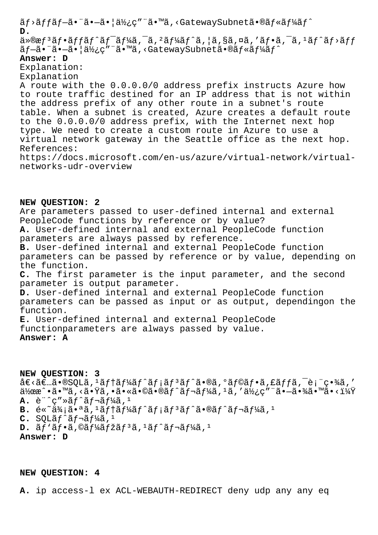ãf>ãffãf-㕨ã•-㕦使ç″¨ã•™ã,<GatewaySubnetã•®ãf«ãf¼ãf^ **D.**  $\ddot{a}$ »®æ $f$ 3 $\tilde{a}$ f•ã $f$ f $\tilde{a}$ f $\tilde{a}$ f $\tilde{a}$ an  $\tilde{a}$ ,  $\tilde{a}$ f $\tilde{a}$ ,  $\tilde{a}$ ,  $\tilde{a}$ ,  $\tilde{a}$ ,  $\tilde{a}$ ,  $\tilde{a}$ ,  $\tilde{a}$ ,  $\tilde{a}$ ,  $\tilde{a}$ ,  $\tilde{a}$ ,  $\tilde{a}$ ,  $\tilde{a}$ ,  $\tilde{a}$ ,  $\tilde{a}$ ,  $\til$ ãf-ã. ¨ã. -ã. |使ç" ¨ã. ™ã, <GatewaySubnetã. ®ãf«ãf¼ãf^ **Answer: D** Explanation: Explanation A route with the 0.0.0.0/0 address prefix instructs Azure how to route traffic destined for an IP address that is not within the address prefix of any other route in a subnet's route table. When a subnet is created, Azure creates a default route to the 0.0.0.0/0 address prefix, with the Internet next hop type. We need to create a custom route in Azure to use a virtual network gateway in the Seattle office as the next hop. References: https://docs.microsoft.com/en-us/azure/virtual-network/virtualnetworks-udr-overview

**NEW QUESTION: 2** Are parameters passed to user-defined internal and external PeopleCode functions by reference or by value? **A.** User-defined internal and external PeopleCode function parameters are always passed by reference. **B.** User-defined internal and external PeopleCode function parameters can be passed by reference or by value, depending on the function. **C.** The first parameter is the input parameter, and the second parameter is output parameter. **D.** User-defined internal and external PeopleCode function parameters can be passed as input or as output, dependingon the function. **E.** User-defined internal and external PeopleCode functionparameters are always passed by value. **Answer: A**

**NEW QUESTION: 3**  $\det\left( \tilde{a}\right) = \det\left( \tilde{a}\right)$  and  $\det\left( \tilde{a}\right)$  and  $\det\left( \tilde{a}\right)$  and  $\det\left( \tilde{a}\right)$  $\ddot{a}$ ½œæ^•ã•™ã,‹ã•Ÿã,•ã•«ã•©ã•®ãƒ^レーã,ʲã,′使ç″¨ã•—㕾㕙㕋i¼Ÿ  $A.$  è " $c$ "» $a$ f $a$ f $a$ f $a$ f $a$ a,  $a$ B. é«~ä¾;ã•<sup>a</sup>ã,<sup>1</sup>ãf†ãf¼ãf^ãf;ãf<sup>3</sup>ãf^ã•®ãf^ãf¬ãf¼ã,<sup>1</sup>  $C.$  SQLã $f^{\wedge}$ ã $f^{\neg}$ ã $f^{\vee}$ ã, <sup>1</sup>  $D. \tilde{a} f' \tilde{a} f \cdot \tilde{a}$ ,  $\mathcal{O} \tilde{a} f' \tilde{a} f \tilde{a} f^3 \tilde{a}$ ,  $\tilde{a} f' \tilde{a} f \cdot \tilde{a} f' \tilde{a} f'$ **Answer: D**

**NEW QUESTION: 4**

**A.** ip access-l ex ACL-WEBAUTH-REDIRECT deny udp any any eq